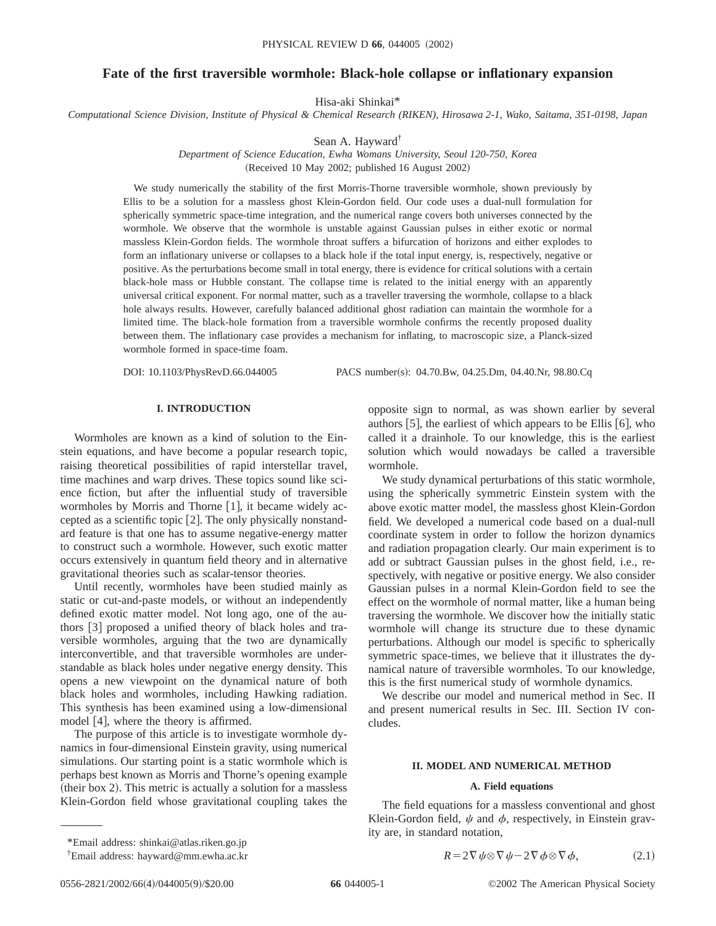# **Fate of the first traversible wormhole: Black-hole collapse or inflationary expansion**

Hisa-aki Shinkai\*

*Computational Science Division, Institute of Physical & Chemical Research (RIKEN), Hirosawa 2-1, Wako, Saitama, 351-0198, Japan*

Sean A. Hayward<sup>†</sup>

*Department of Science Education, Ewha Womans University, Seoul 120-750, Korea*

(Received 10 May 2002; published 16 August 2002)

We study numerically the stability of the first Morris-Thorne traversible wormhole, shown previously by Ellis to be a solution for a massless ghost Klein-Gordon field. Our code uses a dual-null formulation for spherically symmetric space-time integration, and the numerical range covers both universes connected by the wormhole. We observe that the wormhole is unstable against Gaussian pulses in either exotic or normal massless Klein-Gordon fields. The wormhole throat suffers a bifurcation of horizons and either explodes to form an inflationary universe or collapses to a black hole if the total input energy, is, respectively, negative or positive. As the perturbations become small in total energy, there is evidence for critical solutions with a certain black-hole mass or Hubble constant. The collapse time is related to the initial energy with an apparently universal critical exponent. For normal matter, such as a traveller traversing the wormhole, collapse to a black hole always results. However, carefully balanced additional ghost radiation can maintain the wormhole for a limited time. The black-hole formation from a traversible wormhole confirms the recently proposed duality between them. The inflationary case provides a mechanism for inflating, to macroscopic size, a Planck-sized wormhole formed in space-time foam.

DOI: 10.1103/PhysRevD.66.044005 PACS number(s): 04.70.Bw, 04.25.Dm, 04.40.Nr, 98.80.Cq

# **I. INTRODUCTION**

Wormholes are known as a kind of solution to the Einstein equations, and have become a popular research topic, raising theoretical possibilities of rapid interstellar travel, time machines and warp drives. These topics sound like science fiction, but after the influential study of traversible wormholes by Morris and Thorne  $[1]$ , it became widely accepted as a scientific topic  $[2]$ . The only physically nonstandard feature is that one has to assume negative-energy matter to construct such a wormhole. However, such exotic matter occurs extensively in quantum field theory and in alternative gravitational theories such as scalar-tensor theories.

Until recently, wormholes have been studied mainly as static or cut-and-paste models, or without an independently defined exotic matter model. Not long ago, one of the authors  $\lceil 3 \rceil$  proposed a unified theory of black holes and traversible wormholes, arguing that the two are dynamically interconvertible, and that traversible wormholes are understandable as black holes under negative energy density. This opens a new viewpoint on the dynamical nature of both black holes and wormholes, including Hawking radiation. This synthesis has been examined using a low-dimensional model  $[4]$ , where the theory is affirmed.

The purpose of this article is to investigate wormhole dynamics in four-dimensional Einstein gravity, using numerical simulations. Our starting point is a static wormhole which is perhaps best known as Morris and Thorne's opening example (their box 2). This metric is actually a solution for a massless Klein-Gordon field whose gravitational coupling takes the opposite sign to normal, as was shown earlier by several authors  $[5]$ , the earliest of which appears to be Ellis  $[6]$ , who called it a drainhole. To our knowledge, this is the earliest solution which would nowadays be called a traversible wormhole.

We study dynamical perturbations of this static wormhole, using the spherically symmetric Einstein system with the above exotic matter model, the massless ghost Klein-Gordon field. We developed a numerical code based on a dual-null coordinate system in order to follow the horizon dynamics and radiation propagation clearly. Our main experiment is to add or subtract Gaussian pulses in the ghost field, i.e., respectively, with negative or positive energy. We also consider Gaussian pulses in a normal Klein-Gordon field to see the effect on the wormhole of normal matter, like a human being traversing the wormhole. We discover how the initially static wormhole will change its structure due to these dynamic perturbations. Although our model is specific to spherically symmetric space-times, we believe that it illustrates the dynamical nature of traversible wormholes. To our knowledge, this is the first numerical study of wormhole dynamics.

We describe our model and numerical method in Sec. II and present numerical results in Sec. III. Section IV concludes.

## **II. MODEL AND NUMERICAL METHOD**

## **A. Field equations**

The field equations for a massless conventional and ghost Klein-Gordon field,  $\psi$  and  $\phi$ , respectively, in Einstein gravity are, in standard notation,

$$
R = 2 \nabla \psi \otimes \nabla \psi - 2 \nabla \phi \otimes \nabla \phi, \tag{2.1}
$$

<sup>\*</sup>Email address: shinkai@atlas.riken.go.jp

<sup>†</sup> Email address: hayward@mm.ewha.ac.kr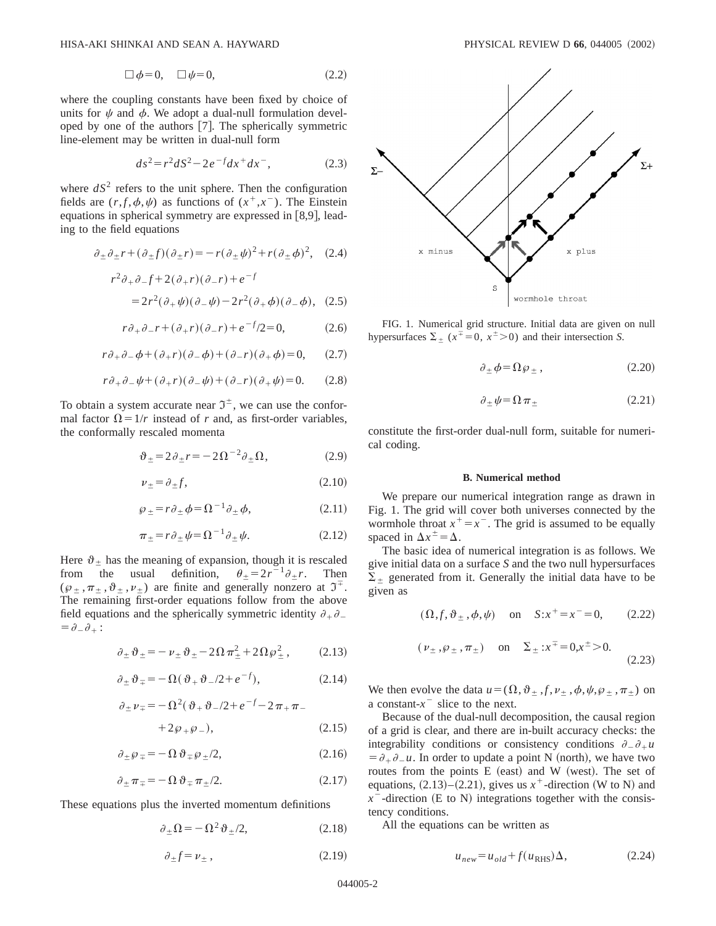$$
\Box \phi = 0, \quad \Box \psi = 0, \tag{2.2}
$$

where the coupling constants have been fixed by choice of units for  $\psi$  and  $\phi$ . We adopt a dual-null formulation developed by one of the authors  $[7]$ . The spherically symmetric line-element may be written in dual-null form

$$
ds^2 = r^2 dS^2 - 2e^{-f} dx^+ dx^-, \tag{2.3}
$$

where  $dS<sup>2</sup>$  refers to the unit sphere. Then the configuration fields are  $(r, f, \phi, \psi)$  as functions of  $(x^+, x^-)$ . The Einstein equations in spherical symmetry are expressed in  $[8,9]$ , leading to the field equations

$$
\partial_{\pm}\partial_{\pm}r + (\partial_{\pm}f)(\partial_{\pm}r) = -r(\partial_{\pm}\psi)^2 + r(\partial_{\pm}\phi)^2, \quad (2.4)
$$

$$
r^{2} \partial_{+} \partial_{-} f + 2(\partial_{+} r)(\partial_{-} r) + e^{-f}
$$
  
=  $2r^{2} (\partial_{+} \psi)(\partial_{-} \psi) - 2r^{2} (\partial_{+} \phi)(\partial_{-} \phi),$  (2.5)

$$
r\partial_{+}\partial_{-}r + (\partial_{+}r)(\partial_{-}r) + e^{-f}/2 = 0, \tag{2.6}
$$

$$
r\partial_+\partial_-\phi+(\partial_+r)(\partial_-\phi)+(\partial_-r)(\partial_+\phi)=0,\qquad(2.7)
$$

$$
r\partial_+\partial_-\psi+(\partial_+r)(\partial_-\psi)+(\partial_-r)(\partial_+\psi)=0.\qquad(2.8)
$$

To obtain a system accurate near  $\mathfrak{I}^{\pm}$ , we can use the conformal factor  $\Omega = 1/r$  instead of *r* and, as first-order variables, the conformally rescaled momenta

$$
\vartheta_{\pm} = 2\partial_{\pm}r = -2\Omega^{-2}\partial_{\pm}\Omega,\tag{2.9}
$$

$$
\nu_{\pm} = \partial_{\pm} f,\tag{2.10}
$$

$$
\wp_{\pm} = r \partial_{\pm} \phi = \Omega^{-1} \partial_{\pm} \phi, \qquad (2.11)
$$

$$
\pi_{\pm} = r\partial_{\pm}\psi = \Omega^{-1}\partial_{\pm}\psi. \tag{2.12}
$$

Here  $\vartheta$  has the meaning of expansion, though it is rescaled from the usual definition,  $\theta_+ = 2r^{-1}\partial_+r$ . Then  $(\varphi_{\pm}, \pi_{\pm}, \vartheta_{\pm}, \nu_{\pm})$  are finite and generally nonzero at  $\mathfrak{I}^{\mp}$ . The remaining first-order equations follow from the above field equations and the spherically symmetric identity  $\partial_{+}\partial_{-}$  $= \partial_- \partial_+$ :

$$
\partial_{\pm}\vartheta_{\pm} = -\nu_{\pm}\vartheta_{\pm} - 2\Omega\pi_{\pm}^2 + 2\Omega\varphi_{\pm}^2, \qquad (2.13)
$$

$$
\partial_{\pm} \vartheta_{\mp} = -\Omega(\vartheta_{+} \vartheta_{-}/2 + e^{-f}), \qquad (2.14)
$$

$$
\partial_{\pm} \nu_{\mp} = -\Omega^2 (\vartheta_{+} \vartheta_{-}/2 + e^{-f} - 2\pi_{+} \pi_{-} + 2\varphi_{+} \varphi_{-}), \qquad (2.15)
$$

$$
\partial_{\pm}\wp_{\mp} = -\Omega \,\vartheta_{\mp}\wp_{\pm}/2,\tag{2.16}
$$

$$
\partial_{\pm} \pi_{\mp} = -\Omega \vartheta_{\mp} \pi_{\pm}/2. \tag{2.17}
$$

These equations plus the inverted momentum definitions

$$
\partial_{\pm}\Omega = -\Omega^2 \vartheta_{\pm}/2, \qquad (2.18)
$$

$$
\partial_{\pm} f = \nu_{\pm} \,, \tag{2.19}
$$



FIG. 1. Numerical grid structure. Initial data are given on null hypersurfaces  $\Sigma_+$  ( $x^{\pm}$ =0,  $x^{\pm}$ >0) and their intersection *S*.

$$
\partial_{\pm} \phi = \Omega \varphi_{\pm} , \qquad (2.20)
$$

$$
\partial_{\pm}\psi = \Omega \pi_{\pm} \tag{2.21}
$$

constitute the first-order dual-null form, suitable for numerical coding.

#### **B. Numerical method**

We prepare our numerical integration range as drawn in Fig. 1. The grid will cover both universes connected by the wormhole throat  $x^+=x^-$ . The grid is assumed to be equally spaced in  $\Delta x^{\pm} = \Delta$ .

The basic idea of numerical integration is as follows. We give initial data on a surface *S* and the two null hypersurfaces  $\Sigma_{\pm}$  generated from it. Generally the initial data have to be given as

$$
(\Omega, f, \vartheta_{\pm}, \phi, \psi)
$$
 on  $S: x^{+} = x^{-} = 0,$  (2.22)  
 $(\nu_{\pm}, \wp_{\pm}, \pi_{\pm})$  on  $\Sigma_{\pm}: x^{\mp} = 0, x^{\pm} > 0.$  (2.23)

We then evolve the data  $u = (\Omega, \vartheta_+, f, \nu_+, \varphi, \psi, \varphi_+, \pi_+)$  on a constant- $x^-$  slice to the next.

Because of the dual-null decomposition, the causal region of a grid is clear, and there are in-built accuracy checks: the integrability conditions or consistency conditions  $\partial_{-}\partial_{+}u$  $= \partial_{+} \partial_{-} u$ . In order to update a point N (north), we have two routes from the points  $E ~ (east)$  and  $W ~ (west)$ . The set of equations,  $(2.13)$ – $(2.21)$ , gives us  $x^+$ -direction (W to N) and  $x^-$ -direction (E to N) integrations together with the consistency conditions.

All the equations can be written as

$$
u_{new} = u_{old} + f(u_{RHS})\Delta, \qquad (2.24)
$$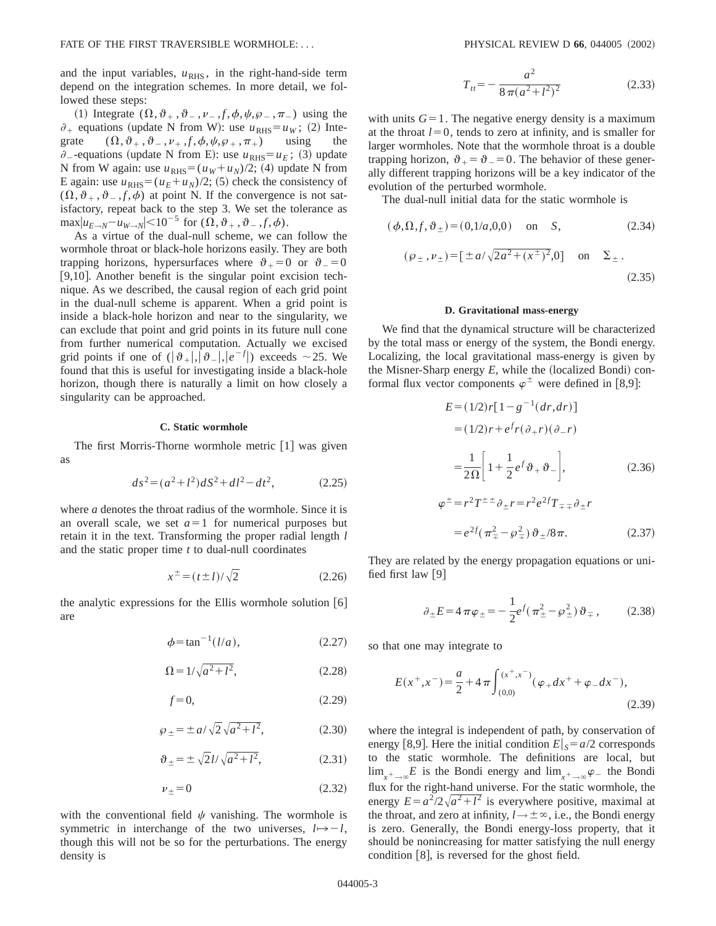and the input variables,  $u_{RHS}$ , in the right-hand-side term depend on the integration schemes. In more detail, we followed these steps:

(1) Integrate  $(\Omega, \vartheta_+, \vartheta_-, \nu_-, f, \varphi, \psi, \varphi_-, \pi_-)$  using the  $\partial_+$  equations (update N from W): use  $u_{\text{RHS}} = u_W$ ; (2) Integrate  $(\Omega, \vartheta_+, \vartheta_-, \nu_+, f, \varphi, \psi, \varphi_+, \pi_+)$  using the grate  $(\Omega, \vartheta_+, \vartheta_-, \nu_+, f, \phi, \psi, \varphi_+, \pi_+)$  $\partial$ <sub>-</sub>-equations (update N from E): use  $u_{RHS} = u_E$ ; (3) update N from W again: use  $u_{RHS} = (u_W + u_N)/2$ ; (4) update N from E again: use  $u_{RHS} = (u_E + u_N)/2$ ; (5) check the consistency of  $(\Omega, \vartheta_+, \vartheta_-, f, \phi)$  at point N. If the convergence is not satisfactory, repeat back to the step 3. We set the tolerance as  $\max |u_{E\rightarrow N}-u_{W\rightarrow N}|$  < 10<sup>-5</sup> for  $(\Omega, \vartheta_+, \vartheta_-, f, \varphi)$ .

As a virtue of the dual-null scheme, we can follow the wormhole throat or black-hole horizons easily. They are both trapping horizons, hypersurfaces where  $\vartheta_+ = 0$  or  $\vartheta_- = 0$  $[9,10]$ . Another benefit is the singular point excision technique. As we described, the causal region of each grid point in the dual-null scheme is apparent. When a grid point is inside a black-hole horizon and near to the singularity, we can exclude that point and grid points in its future null cone from further numerical computation. Actually we excised grid points if one of  $(|\vartheta_+|, |\vartheta_-|, |e^{-f}|)$  exceeds  $\sim$  25. We found that this is useful for investigating inside a black-hole horizon, though there is naturally a limit on how closely a singularity can be approached.

## **C. Static wormhole**

The first Morris-Thorne wormhole metric  $\lceil 1 \rceil$  was given as

$$
ds^2 = (a^2 + l^2)dS^2 + dl^2 - dt^2,
$$
 (2.25)

where *a* denotes the throat radius of the wormhole. Since it is an overall scale, we set  $a=1$  for numerical purposes but retain it in the text. Transforming the proper radial length *l* and the static proper time *t* to dual-null coordinates

$$
x^{\pm} = (t \pm l)/\sqrt{2}
$$
 (2.26)

the analytic expressions for the Ellis wormhole solution  $[6]$ are

$$
\phi = \tan^{-1}(l/a), \tag{2.27}
$$

$$
\Omega = 1/\sqrt{a^2 + l^2},\tag{2.28}
$$

$$
f=0,\tag{2.29}
$$

$$
\wp_{\pm} = \pm a/\sqrt{2}\sqrt{a^2 + l^2},\tag{2.30}
$$

$$
\vartheta_{\pm} = \pm \sqrt{2} l / \sqrt{a^2 + l^2},\tag{2.31}
$$

$$
\nu_{\pm} = 0 \tag{2.32}
$$

with the conventional field  $\psi$  vanishing. The wormhole is symmetric in interchange of the two universes,  $l \rightarrow -l$ , though this will not be so for the perturbations. The energy density is

$$
T_{tt} = -\frac{a^2}{8\pi(a^2 + l^2)^2}
$$
 (2.33)

with units  $G=1$ . The negative energy density is a maximum at the throat  $l=0$ , tends to zero at infinity, and is smaller for larger wormholes. Note that the wormhole throat is a double trapping horizon,  $\vartheta_{+}=\vartheta_{-}=0$ . The behavior of these generally different trapping horizons will be a key indicator of the evolution of the perturbed wormhole.

The dual-null initial data for the static wormhole is

$$
(\phi, \Omega, f, \vartheta_{\pm}) = (0, 1/a, 0, 0) \quad \text{on} \quad S,
$$
 (2.34)  

$$
(\varphi_{\pm}, \nu_{\pm}) = [\pm a/\sqrt{2a^2 + (x^{\pm})^2}, 0] \quad \text{on} \quad \Sigma_{\pm}.
$$
 (2.35)

#### **D. Gravitational mass-energy**

We find that the dynamical structure will be characterized by the total mass or energy of the system, the Bondi energy. Localizing, the local gravitational mass-energy is given by the Misner-Sharp energy  $E$ , while the (localized Bondi) conformal flux vector components  $\varphi^{\pm}$  were defined in [8,9]:

$$
E = (1/2)r[1 - g^{-1}(dr, dr)]
$$
  

$$
= (1/2)r + e^{fr}(\partial_{+}r)(\partial_{-}r)
$$
  

$$
= \frac{1}{2\Omega} \left[1 + \frac{1}{2}e^{f}\vartheta_{+}\vartheta_{-}\right],
$$
 (2.36)  

$$
\varphi^{\pm} = r^{2}T^{\pm}{}^{\pm}\partial_{\pm}r = r^{2}e^{2f}T_{\mp}{}^{\pm}\partial_{\pm}r
$$

$$
=e^{2f}(\pi_{\mp}^2-\wp_{\mp}^2)\,\vartheta_{\pm}/8\pi.\tag{2.37}
$$

They are related by the energy propagation equations or unified first law  $[9]$ 

$$
\partial_{\pm} E = 4 \pi \varphi_{\pm} = -\frac{1}{2} e^f (\pi_{\pm}^2 - \varphi_{\pm}^2) \vartheta_{\mp} , \qquad (2.38)
$$

so that one may integrate to

$$
E(x^+, x^-) = \frac{a}{2} + 4\pi \int_{(0,0)}^{(x^+, x^-)} (\varphi_+ dx^+ + \varphi_- dx^-),
$$
\n(2.39)

where the integral is independent of path, by conservation of energy [8,9]. Here the initial condition  $E|_S = a/2$  corresponds to the static wormhole. The definitions are local, but  $\lim_{x^+ \to \infty} E$  is the Bondi energy and  $\lim_{x^+ \to \infty} \varphi$  the Bondi flux for the right-hand universe. For the static wormhole, the energy  $E = a^2/2\sqrt{a^2 + l^2}$  is everywhere positive, maximal at the throat, and zero at infinity,  $l \rightarrow \pm \infty$ , i.e., the Bondi energy is zero. Generally, the Bondi energy-loss property, that it should be nonincreasing for matter satisfying the null energy condition  $[8]$ , is reversed for the ghost field.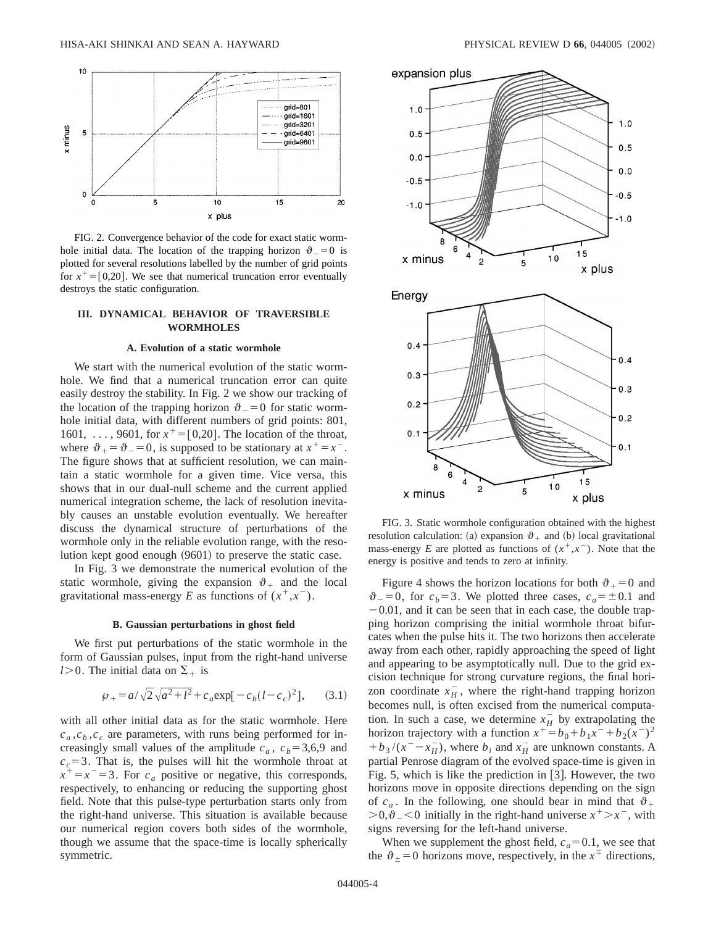

FIG. 2. Convergence behavior of the code for exact static wormhole initial data. The location of the trapping horizon  $\vartheta = 0$  is plotted for several resolutions labelled by the number of grid points for  $x^+$ =[0,20]. We see that numerical truncation error eventually destroys the static configuration.

# **III. DYNAMICAL BEHAVIOR OF TRAVERSIBLE WORMHOLES**

## **A. Evolution of a static wormhole**

We start with the numerical evolution of the static wormhole. We find that a numerical truncation error can quite easily destroy the stability. In Fig. 2 we show our tracking of the location of the trapping horizon  $\vartheta$  = 0 for static wormhole initial data, with different numbers of grid points: 801, 1601, ..., 9601, for  $x^+ = [0,20]$ . The location of the throat, where  $\vartheta_+ = \vartheta_- = 0$ , is supposed to be stationary at  $x^+ = x^-$ . The figure shows that at sufficient resolution, we can maintain a static wormhole for a given time. Vice versa, this shows that in our dual-null scheme and the current applied numerical integration scheme, the lack of resolution inevitably causes an unstable evolution eventually. We hereafter discuss the dynamical structure of perturbations of the wormhole only in the reliable evolution range, with the resolution kept good enough  $(9601)$  to preserve the static case.

In Fig. 3 we demonstrate the numerical evolution of the static wormhole, giving the expansion  $\vartheta_+$  and the local gravitational mass-energy *E* as functions of  $(x^+, x^-)$ .

#### **B. Gaussian perturbations in ghost field**

We first put perturbations of the static wormhole in the form of Gaussian pulses, input from the right-hand universe *l*. The initial data on  $\Sigma_+$  is

$$
\wp_{+} = a/\sqrt{2}\sqrt{a^2 + l^2} + c_a \exp[-c_b(l - c_c)^2],\qquad(3.1)
$$

with all other initial data as for the static wormhole. Here  $c_a$ ,  $c_b$ ,  $c_c$  are parameters, with runs being performed for increasingly small values of the amplitude  $c_a$ ,  $c_b = 3,6,9$  and  $c_c$ =3. That is, the pulses will hit the wormhole throat at  $x^+=x^-=3$ . For  $c_a$  positive or negative, this corresponds, respectively, to enhancing or reducing the supporting ghost field. Note that this pulse-type perturbation starts only from the right-hand universe. This situation is available because our numerical region covers both sides of the wormhole, though we assume that the space-time is locally spherically symmetric.



FIG. 3. Static wormhole configuration obtained with the highest resolution calculation: (a) expansion  $\vartheta_+$  and (b) local gravitational mass-energy *E* are plotted as functions of  $(x^+, x^-)$ . Note that the energy is positive and tends to zero at infinity.

Figure 4 shows the horizon locations for both  $\vartheta_+ = 0$  and  $\vartheta_0 = 0$ , for  $c_b = 3$ . We plotted three cases,  $c_a = \pm 0.1$  and  $-0.01$ , and it can be seen that in each case, the double trapping horizon comprising the initial wormhole throat bifurcates when the pulse hits it. The two horizons then accelerate away from each other, rapidly approaching the speed of light and appearing to be asymptotically null. Due to the grid excision technique for strong curvature regions, the final horizon coordinate  $x_H^-$ , where the right-hand trapping horizon becomes null, is often excised from the numerical computation. In such a case, we determine  $x_H^-$  by extrapolating the horizon trajectory with a function  $x^+=b_0+b_1x^-+b_2(x^-)^2$  $+ b_3 / (x^- - x^-_H)$ , where  $b_i$  and  $x^-_H$  are unknown constants. A partial Penrose diagram of the evolved space-time is given in Fig. 5, which is like the prediction in  $\lceil 3 \rceil$ . However, the two horizons move in opposite directions depending on the sign of  $c_a$ . In the following, one should bear in mind that  $\vartheta$  +  $>0, \vartheta$ <sub>-</sub> $<$ 0 initially in the right-hand universe  $x$ <sup>+</sup> $>$ *x*<sup>-</sup>, with signs reversing for the left-hand universe.

When we supplement the ghost field,  $c_a = 0.1$ , we see that the  $\vartheta$ <sub>±</sub> = 0 horizons move, respectively, in the  $x^{\pm}$  directions,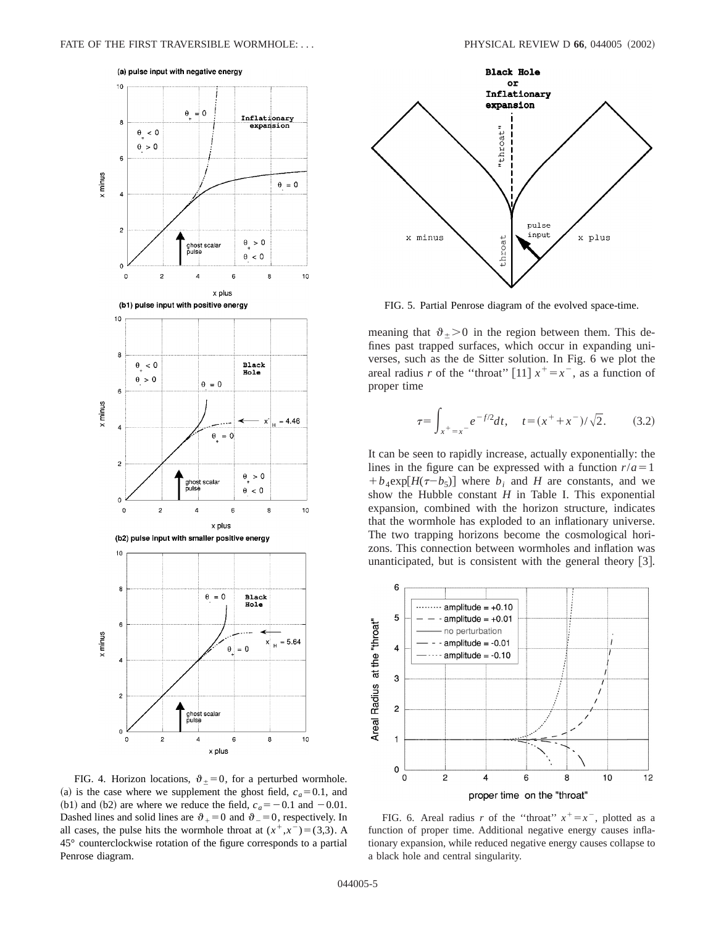

FIG. 4. Horizon locations,  $\vartheta_+ = 0$ , for a perturbed wormhole. (a) is the case where we supplement the ghost field,  $c_a=0.1$ , and (b1) and (b2) are where we reduce the field,  $c_a = -0.1$  and  $-0.01$ . Dashed lines and solid lines are  $\vartheta_+ = 0$  and  $\vartheta_- = 0$ , respectively. In all cases, the pulse hits the wormhole throat at  $(x^+, x^-) = (3,3)$ . A 45° counterclockwise rotation of the figure corresponds to a partial Penrose diagram.



FIG. 5. Partial Penrose diagram of the evolved space-time.

meaning that  $\vartheta$ <sub>±</sub>>0 in the region between them. This defines past trapped surfaces, which occur in expanding universes, such as the de Sitter solution. In Fig. 6 we plot the areal radius *r* of the "throat" [11]  $x^+=x^-$ , as a function of proper time

$$
\tau = \int_{x^+ = x^-} e^{-f/2} dt, \quad t = (x^+ + x^-)/\sqrt{2}.
$$
 (3.2)

It can be seen to rapidly increase, actually exponentially: the lines in the figure can be expressed with a function  $r/a = 1$  $+ b_4 \exp[H(\tau-b_5)]$  where  $b_i$  and *H* are constants, and we show the Hubble constant *H* in Table I. This exponential expansion, combined with the horizon structure, indicates that the wormhole has exploded to an inflationary universe. The two trapping horizons become the cosmological horizons. This connection between wormholes and inflation was unanticipated, but is consistent with the general theory  $\lceil 3 \rceil$ .



FIG. 6. Areal radius *r* of the "throat"  $x^+=x^-$ , plotted as a function of proper time. Additional negative energy causes inflationary expansion, while reduced negative energy causes collapse to a black hole and central singularity.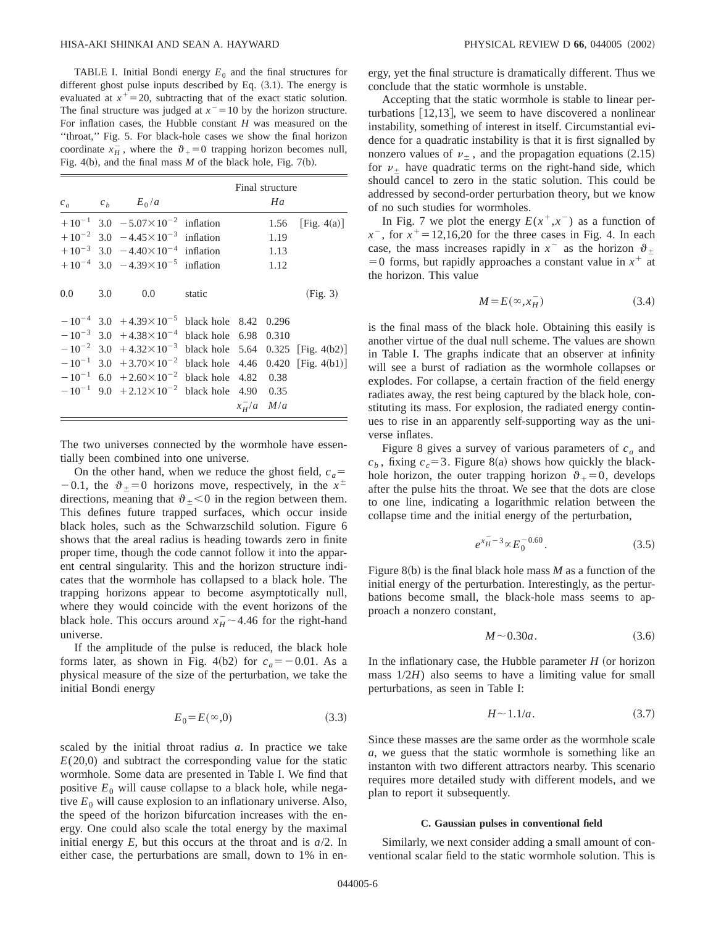TABLE I. Initial Bondi energy  $E_0$  and the final structures for different ghost pulse inputs described by Eq.  $(3.1)$ . The energy is evaluated at  $x^+=20$ , subtracting that of the exact static solution. The final structure was judged at  $x^2 = 10$  by the horizon structure. For inflation cases, the Hubble constant *H* was measured on the ''throat,'' Fig. 5. For black-hole cases we show the final horizon coordinate  $x_H^-$ , where the  $\vartheta_+ = 0$  trapping horizon becomes null, Fig. 4(b), and the final mass *M* of the black hole, Fig. 7(b).

|                  |                                                                          |        | Final structure   |      |           |
|------------------|--------------------------------------------------------------------------|--------|-------------------|------|-----------|
|                  | $c_a$ $c_b$ $E_0/a$                                                      |        |                   | Ha   |           |
|                  | $+10^{-1}$ 3.0 $-5.07 \times 10^{-2}$ inflation                          |        |                   | 1.56 | Fig. 4(a) |
|                  | $+10^{-2}$ 3.0 $-4.45 \times 10^{-3}$ inflation                          |        |                   | 1.19 |           |
|                  | $+10^{-3}$ 3.0 $-4.40 \times 10^{-4}$ inflation                          |        |                   | 1.13 |           |
|                  | $+10^{-4}$ 3.0 $-4.39 \times 10^{-5}$ inflation                          |        |                   | 1.12 |           |
|                  |                                                                          |        |                   |      |           |
| $0.0 \qquad 3.0$ | 0.0                                                                      | static |                   |      | (Fig. 3)  |
|                  |                                                                          |        |                   |      |           |
|                  | $-10^{-4}$ 3.0 $+4.39\times10^{-5}$ black hole 8.42 0.296                |        |                   |      |           |
|                  | $-10^{-3}$ 3.0 $+4.38 \times 10^{-4}$ black hole 6.98 0.310              |        |                   |      |           |
|                  | $-10^{-2}$ 3.0 $+4.32 \times 10^{-3}$ black hole 5.64 0.325 [Fig. 4(b2)] |        |                   |      |           |
|                  | $-10^{-1}$ 3.0 $+3.70 \times 10^{-2}$ black hole 4.46 0.420 [Fig. 4(b1)] |        |                   |      |           |
|                  | $-10^{-1}$ 6.0 $+2.60 \times 10^{-2}$ black hole 4.82 0.38               |        |                   |      |           |
|                  | $-10^{-1}$ 9.0 + 2.12×10 <sup>-2</sup> black hole 4.90 0.35              |        |                   |      |           |
|                  |                                                                          |        | $x_{H}^{-}/a$ M/a |      |           |

The two universes connected by the wormhole have essentially been combined into one universe.

On the other hand, when we reduce the ghost field,  $c_a$ =  $-0.1$ , the  $\vartheta_{\pm} = 0$  horizons move, respectively, in the  $x^{\pm}$ directions, meaning that  $\vartheta$ <sub>±</sub> <0 in the region between them. This defines future trapped surfaces, which occur inside black holes, such as the Schwarzschild solution. Figure 6 shows that the areal radius is heading towards zero in finite proper time, though the code cannot follow it into the apparent central singularity. This and the horizon structure indicates that the wormhole has collapsed to a black hole. The trapping horizons appear to become asymptotically null, where they would coincide with the event horizons of the black hole. This occurs around  $x_H^-$  ~ 4.46 for the right-hand universe.

If the amplitude of the pulse is reduced, the black hole forms later, as shown in Fig. 4(b2) for  $c_a = -0.01$ . As a physical measure of the size of the perturbation, we take the initial Bondi energy

$$
E_0 = E(\infty, 0) \tag{3.3}
$$

scaled by the initial throat radius *a*. In practice we take  $E(20,0)$  and subtract the corresponding value for the static wormhole. Some data are presented in Table I. We find that positive  $E_0$  will cause collapse to a black hole, while negative  $E_0$  will cause explosion to an inflationary universe. Also, the speed of the horizon bifurcation increases with the energy. One could also scale the total energy by the maximal initial energy *E*, but this occurs at the throat and is *a*/2. In either case, the perturbations are small, down to 1% in energy, yet the final structure is dramatically different. Thus we conclude that the static wormhole is unstable.

Accepting that the static wormhole is stable to linear perturbations  $[12,13]$ , we seem to have discovered a nonlinear instability, something of interest in itself. Circumstantial evidence for a quadratic instability is that it is first signalled by nonzero values of  $v_{\pm}$ , and the propagation equations (2.15) for  $v_{\pm}$  have quadratic terms on the right-hand side, which should cancel to zero in the static solution. This could be addressed by second-order perturbation theory, but we know of no such studies for wormholes.

In Fig. 7 we plot the energy  $E(x^+, x^-)$  as a function of  $x^{\text{-}}$ , for  $x^{\text{+}}=12,16,20$  for the three cases in Fig. 4. In each case, the mass increases rapidly in  $x^-$  as the horizon  $\vartheta_{\pm}$  $=0$  forms, but rapidly approaches a constant value in  $x^+$  at the horizon. This value

$$
M = E(\infty, x_H^-) \tag{3.4}
$$

is the final mass of the black hole. Obtaining this easily is another virtue of the dual null scheme. The values are shown in Table I. The graphs indicate that an observer at infinity will see a burst of radiation as the wormhole collapses or explodes. For collapse, a certain fraction of the field energy radiates away, the rest being captured by the black hole, constituting its mass. For explosion, the radiated energy continues to rise in an apparently self-supporting way as the universe inflates.

Figure 8 gives a survey of various parameters of *ca* and  $c_b$ , fixing  $c_c$ =3. Figure 8(a) shows how quickly the blackhole horizon, the outer trapping horizon  $\vartheta_+ = 0$ , develops after the pulse hits the throat. We see that the dots are close to one line, indicating a logarithmic relation between the collapse time and the initial energy of the perturbation,

$$
e^{x_H^- - 3} \propto E_0^{-0.60} \,. \tag{3.5}
$$

Figure 8(b) is the final black hole mass  $M$  as a function of the initial energy of the perturbation. Interestingly, as the perturbations become small, the black-hole mass seems to approach a nonzero constant,

$$
M \sim 0.30a. \tag{3.6}
$$

In the inflationary case, the Hubble parameter  $H$  (or horizon mass 1/2*H*) also seems to have a limiting value for small perturbations, as seen in Table I:

$$
H \sim 1.1/a. \tag{3.7}
$$

Since these masses are the same order as the wormhole scale *a*, we guess that the static wormhole is something like an instanton with two different attractors nearby. This scenario requires more detailed study with different models, and we plan to report it subsequently.

### **C. Gaussian pulses in conventional field**

Similarly, we next consider adding a small amount of conventional scalar field to the static wormhole solution. This is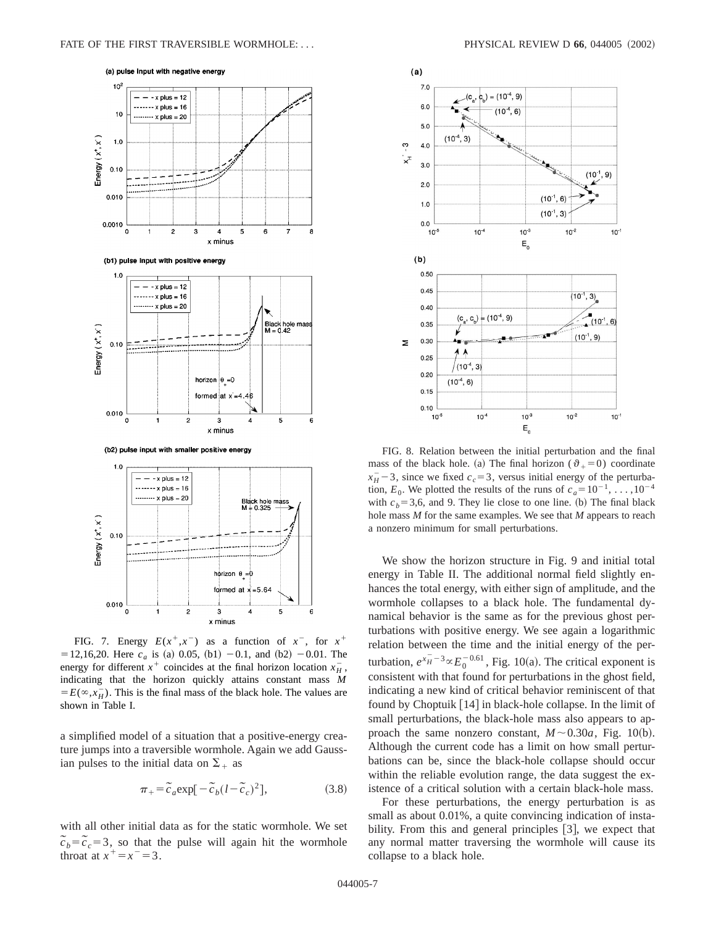

FIG. 7. Energy  $E(x^+, x^-)$  as a function of  $x^-$ , for  $x^+$  $=$  12,16,20. Here  $c_a$  is (a) 0.05, (b1)  $-0.1$ , and (b2)  $-0.01$ . The energy for different  $x^+$  coincides at the final horizon location  $x_H^-$ , indicating that the horizon quickly attains constant mass *M*  $E(E(\infty, x_H^{-})$ . This is the final mass of the black hole. The values are shown in Table I.

 $\overline{2}$ 

0.010

farı

3

 $x$  minus

 $-5.64$ at

5

6

4

a simplified model of a situation that a positive-energy creature jumps into a traversible wormhole. Again we add Gaussian pulses to the initial data on  $\Sigma_+$  as

$$
\pi_{+} = \tilde{c}_a \exp[-\tilde{c}_b (l - \tilde{c}_c)^2],\tag{3.8}
$$

with all other initial data as for the static wormhole. We set  $\tilde{c}_b = \tilde{c}_c = 3$ , so that the pulse will again hit the wormhole throat at  $x^+=x^-=3$ .



FIG. 8. Relation between the initial perturbation and the final mass of the black hole. (a) The final horizon ( $\vartheta_+ = 0$ ) coordinate  $x_H^-$  – 3, since we fixed  $c_c$  = 3, versus initial energy of the perturbation,  $E_0$ . We plotted the results of the runs of  $c_a=10^{-1}$ , ...,  $10^{-4}$ with  $c_b = 3,6$ , and 9. They lie close to one line. (b) The final black hole mass *M* for the same examples. We see that *M* appears to reach a nonzero minimum for small perturbations.

We show the horizon structure in Fig. 9 and initial total energy in Table II. The additional normal field slightly enhances the total energy, with either sign of amplitude, and the wormhole collapses to a black hole. The fundamental dynamical behavior is the same as for the previous ghost perturbations with positive energy. We see again a logarithmic relation between the time and the initial energy of the perturbation,  $e^{x_H^- - 3} \propto E_0^{-0.61}$ , Fig. 10(a). The critical exponent is consistent with that found for perturbations in the ghost field, indicating a new kind of critical behavior reminiscent of that found by Choptuik  $[14]$  in black-hole collapse. In the limit of small perturbations, the black-hole mass also appears to approach the same nonzero constant,  $M \sim 0.30a$ , Fig. 10(b). Although the current code has a limit on how small perturbations can be, since the black-hole collapse should occur within the reliable evolution range, the data suggest the existence of a critical solution with a certain black-hole mass.

For these perturbations, the energy perturbation is as small as about 0.01%, a quite convincing indication of instability. From this and general principles [3], we expect that any normal matter traversing the wormhole will cause its collapse to a black hole.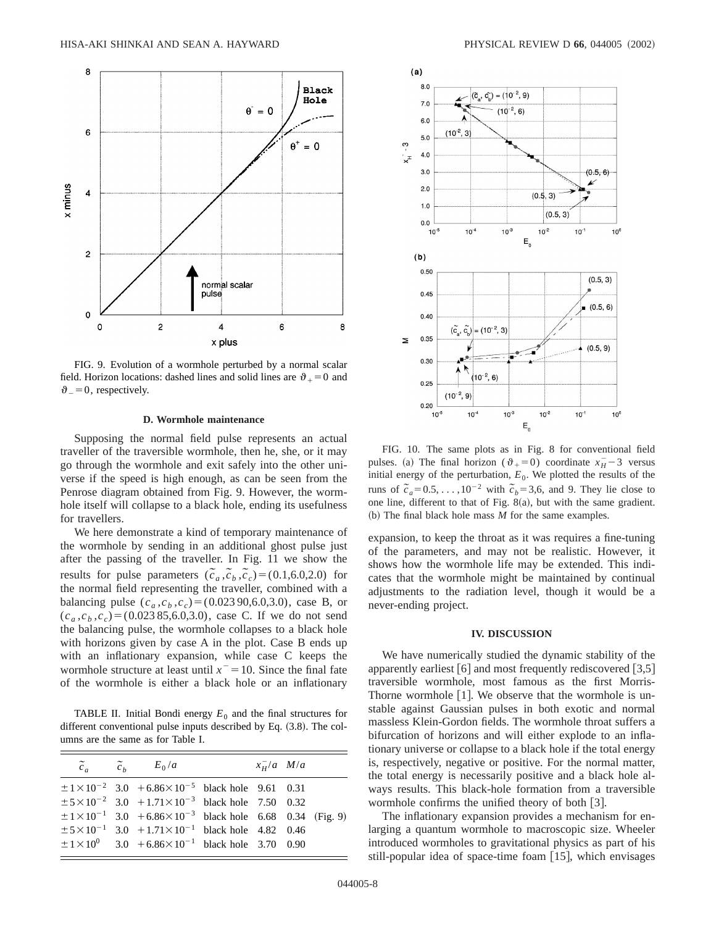

FIG. 9. Evolution of a wormhole perturbed by a normal scalar field. Horizon locations: dashed lines and solid lines are  $\vartheta_+ = 0$  and  $\vartheta$ <sub>-</sub>=0, respectively.

### **D. Wormhole maintenance**

Supposing the normal field pulse represents an actual traveller of the traversible wormhole, then he, she, or it may go through the wormhole and exit safely into the other universe if the speed is high enough, as can be seen from the Penrose diagram obtained from Fig. 9. However, the wormhole itself will collapse to a black hole, ending its usefulness for travellers.

We here demonstrate a kind of temporary maintenance of the wormhole by sending in an additional ghost pulse just after the passing of the traveller. In Fig. 11 we show the results for pulse parameters  $(\tilde{c}_a, \tilde{c}_b, \tilde{c}_c) = (0.1, 6.0, 2.0)$  for the normal field representing the traveller, combined with a balancing pulse  $(c_a, c_b, c_c) = (0.023\,90, 6.0, 3.0)$ , case B, or  $(c_a, c_b, c_c) = (0.023\,85, 6.0, 3.0)$ , case C. If we do not send the balancing pulse, the wormhole collapses to a black hole with horizons given by case A in the plot. Case B ends up with an inflationary expansion, while case C keeps the wormhole structure at least until  $x^2 = 10$ . Since the final fate of the wormhole is either a black hole or an inflationary

TABLE II. Initial Bondi energy  $E_0$  and the final structures for different conventional pulse inputs described by Eq.  $(3.8)$ . The columns are the same as for Table I.

|  | $\tilde{c}_a$ $\tilde{c}_b$ $E_0/a$                                              | $x_H^-/a$ M/a |  |
|--|----------------------------------------------------------------------------------|---------------|--|
|  | $\pm 1 \times 10^{-2}$ 3.0 +6.86 $\times 10^{-5}$ black hole 9.61 0.31           |               |  |
|  | $\pm 5 \times 10^{-2}$ 3.0 $+ 1.71 \times 10^{-3}$ black hole 7.50 0.32          |               |  |
|  | $\pm 1 \times 10^{-1}$ 3.0 + 6.86 $\times 10^{-3}$ black hole 6.68 0.34 (Fig. 9) |               |  |
|  | $\pm 5 \times 10^{-1}$ 3.0 $+ 1.71 \times 10^{-1}$ black hole 4.82 0.46          |               |  |
|  | $\pm 1 \times 10^{0}$ 3.0 +6.86 $\times 10^{-1}$ black hole 3.70 0.90            |               |  |
|  |                                                                                  |               |  |



FIG. 10. The same plots as in Fig. 8 for conventional field pulses. (a) The final horizon ( $\vartheta_+ = 0$ ) coordinate  $x_H^- - 3$  versus initial energy of the perturbation,  $E_0$ . We plotted the results of the runs of  $\tilde{c}_a = 0.5, \ldots, 10^{-2}$  with  $\tilde{c}_b = 3,6$ , and 9. They lie close to one line, different to that of Fig.  $8(a)$ , but with the same gradient. (b) The final black hole mass  $M$  for the same examples.

expansion, to keep the throat as it was requires a fine-tuning of the parameters, and may not be realistic. However, it shows how the wormhole life may be extended. This indicates that the wormhole might be maintained by continual adjustments to the radiation level, though it would be a never-ending project.

## **IV. DISCUSSION**

We have numerically studied the dynamic stability of the apparently earliest  $\lceil 6 \rceil$  and most frequently rediscovered  $\lceil 3, 5 \rceil$ traversible wormhole, most famous as the first Morris-Thorne wormhole  $[1]$ . We observe that the wormhole is unstable against Gaussian pulses in both exotic and normal massless Klein-Gordon fields. The wormhole throat suffers a bifurcation of horizons and will either explode to an inflationary universe or collapse to a black hole if the total energy is, respectively, negative or positive. For the normal matter, the total energy is necessarily positive and a black hole always results. This black-hole formation from a traversible wormhole confirms the unified theory of both  $[3]$ .

The inflationary expansion provides a mechanism for enlarging a quantum wormhole to macroscopic size. Wheeler introduced wormholes to gravitational physics as part of his still-popular idea of space-time foam  $[15]$ , which envisages